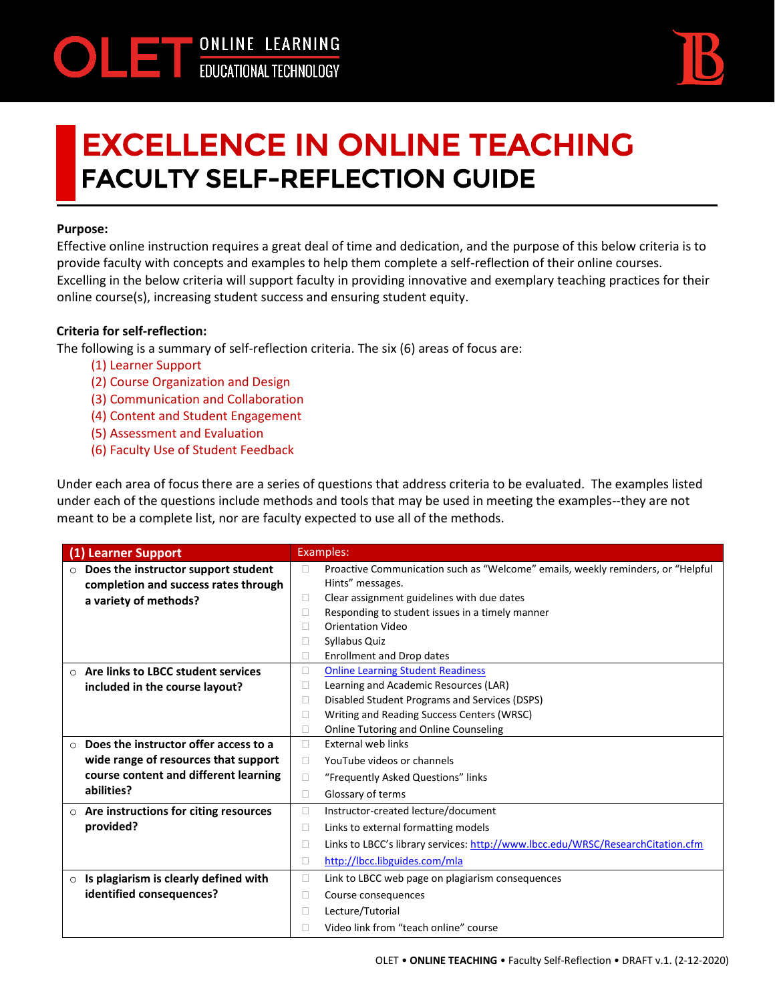

## EXCELLENCE IN ONLINE TEACHING **FACULTY SELF-REFLECTION GUIDE**

## **Purpose:**

Effective online instruction requires a great deal of time and dedication, and the purpose of this below criteria is to provide faculty with concepts and examples to help them complete a self-reflection of their online courses. Excelling in the below criteria will support faculty in providing innovative and exemplary teaching practices for their online course(s), increasing student success and ensuring student equity.

## **Criteria for self-reflection:**

The following is a summary of self-reflection criteria. The six (6) areas of focus are:

- (1) Learner Support
- (2) Course Organization and Design
- (3) Communication and Collaboration
- (4) Content and Student Engagement
- (5) Assessment and Evaluation
- (6) Faculty Use of Student Feedback

Under each area of focus there are a series of questions that address criteria to be evaluated. The examples listed under each of the questions include methods and tools that may be used in meeting the examples--they are not meant to be a complete list, nor are faculty expected to use all of the methods.

| (1) Learner Support                              | Examples:                                                                            |
|--------------------------------------------------|--------------------------------------------------------------------------------------|
| Does the instructor support student<br>$\circ$   | Proactive Communication such as "Welcome" emails, weekly reminders, or "Helpful<br>⊔ |
| completion and success rates through             | Hints" messages.                                                                     |
| a variety of methods?                            | Clear assignment guidelines with due dates<br>n.                                     |
|                                                  | Responding to student issues in a timely manner<br>ш                                 |
|                                                  | <b>Orientation Video</b>                                                             |
|                                                  | Syllabus Quiz<br>н                                                                   |
|                                                  | <b>Enrollment and Drop dates</b>                                                     |
| Are links to LBCC student services<br>$\circ$    | <b>Online Learning Student Readiness</b><br>□                                        |
| included in the course layout?                   | Learning and Academic Resources (LAR)<br>н                                           |
|                                                  | Disabled Student Programs and Services (DSPS)<br>П                                   |
|                                                  | Writing and Reading Success Centers (WRSC)<br>Ш                                      |
|                                                  | Online Tutoring and Online Counseling<br>П                                           |
| Does the instructor offer access to a<br>$\circ$ | <b>External web links</b><br>$\mathbf{L}$                                            |
| wide range of resources that support             | YouTube videos or channels<br>П                                                      |
| course content and different learning            | "Frequently Asked Questions" links<br>П                                              |
| abilities?                                       | Glossary of terms<br>П                                                               |
| $\circ$ Are instructions for citing resources    | Instructor-created lecture/document<br>□                                             |
| provided?                                        | Links to external formatting models<br>□                                             |
|                                                  | Links to LBCC's library services: http://www.lbcc.edu/WRSC/ResearchCitation.cfm<br>E |
|                                                  | http://lbcc.libguides.com/mla<br>П                                                   |
| Is plagiarism is clearly defined with<br>$\circ$ | Link to LBCC web page on plagiarism consequences<br>□                                |
| identified consequences?                         | Course consequences<br>Ш                                                             |
|                                                  | Lecture/Tutorial<br>$\Box$                                                           |
|                                                  | Video link from "teach online" course                                                |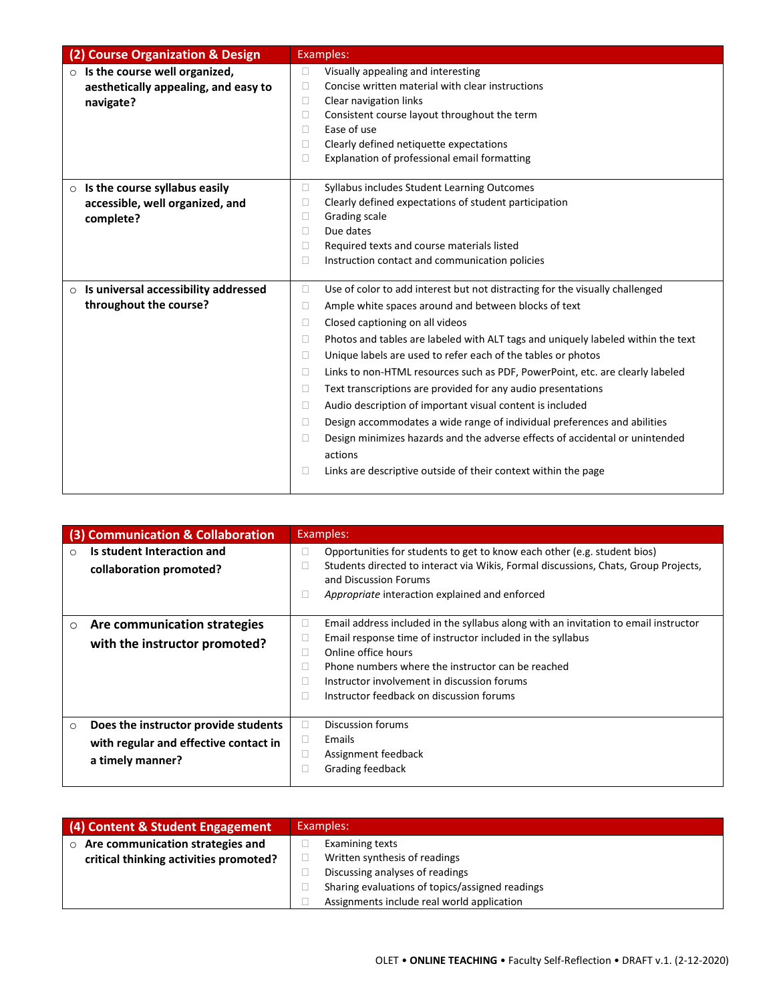| (2) Course Organization & Design                                                           | Examples:                                                                                                                                                                                                                                                                                                                                                                                                                                                                                                                                                                                                                                                                                                                                                                                                                                           |
|--------------------------------------------------------------------------------------------|-----------------------------------------------------------------------------------------------------------------------------------------------------------------------------------------------------------------------------------------------------------------------------------------------------------------------------------------------------------------------------------------------------------------------------------------------------------------------------------------------------------------------------------------------------------------------------------------------------------------------------------------------------------------------------------------------------------------------------------------------------------------------------------------------------------------------------------------------------|
| $\circ$ Is the course well organized,<br>aesthetically appealing, and easy to<br>navigate? | Visually appealing and interesting<br>П<br>Concise written material with clear instructions<br>□<br>Clear navigation links<br>□<br>Consistent course layout throughout the term<br>□<br>Ease of use<br>П<br>Clearly defined netiquette expectations<br>$\Box$<br>Explanation of professional email formatting<br>0                                                                                                                                                                                                                                                                                                                                                                                                                                                                                                                                  |
| $\circ$ Is the course syllabus easily<br>accessible, well organized, and<br>complete?      | Syllabus includes Student Learning Outcomes<br>$\Box$<br>Clearly defined expectations of student participation<br>□<br>Grading scale<br>□<br>Due dates<br>П<br>Required texts and course materials listed<br>□<br>$\Box$<br>Instruction contact and communication policies                                                                                                                                                                                                                                                                                                                                                                                                                                                                                                                                                                          |
| Is universal accessibility addressed<br>$\circ$<br>throughout the course?                  | Use of color to add interest but not distracting for the visually challenged<br>$\Box$<br>Ample white spaces around and between blocks of text<br>□<br>Closed captioning on all videos<br>□<br>Photos and tables are labeled with ALT tags and uniquely labeled within the text<br>□<br>Unique labels are used to refer each of the tables or photos<br>$\Box$<br>Links to non-HTML resources such as PDF, PowerPoint, etc. are clearly labeled<br>□<br>Text transcriptions are provided for any audio presentations<br>□<br>Audio description of important visual content is included<br>□<br>Design accommodates a wide range of individual preferences and abilities<br>П<br>Design minimizes hazards and the adverse effects of accidental or unintended<br>□<br>actions<br>Links are descriptive outside of their context within the page<br>□ |

|          | (3) Communication & Collaboration                                                                 | Examples:                                                                                                                                                                                                                                                                                                                                         |
|----------|---------------------------------------------------------------------------------------------------|---------------------------------------------------------------------------------------------------------------------------------------------------------------------------------------------------------------------------------------------------------------------------------------------------------------------------------------------------|
| $\Omega$ | Is student Interaction and<br>collaboration promoted?                                             | Opportunities for students to get to know each other (e.g. student bios)<br>Ш<br>Students directed to interact via Wikis, Formal discussions, Chats, Group Projects,<br>Ш<br>and Discussion Forums<br>Appropriate interaction explained and enforced<br>□                                                                                         |
| $\circ$  | Are communication strategies<br>with the instructor promoted?                                     | Email address included in the syllabus along with an invitation to email instructor<br>Ш<br>Email response time of instructor included in the syllabus<br>Online office hours<br>Ш<br>Phone numbers where the instructor can be reached<br>П<br>Instructor involvement in discussion forums<br>Ш<br>Instructor feedback on discussion forums<br>П |
| $\circ$  | Does the instructor provide students<br>with regular and effective contact in<br>a timely manner? | Discussion forums<br>П<br>Emails<br>Ш<br>Assignment feedback<br>П<br>Grading feedback                                                                                                                                                                                                                                                             |

| (4) Content & Student Engagement            | Examples:                                       |
|---------------------------------------------|-------------------------------------------------|
| Are communication strategies and<br>$\circ$ | Examining texts                                 |
| critical thinking activities promoted?      | Written synthesis of readings                   |
|                                             | Discussing analyses of readings                 |
|                                             | Sharing evaluations of topics/assigned readings |
|                                             | Assignments include real world application      |